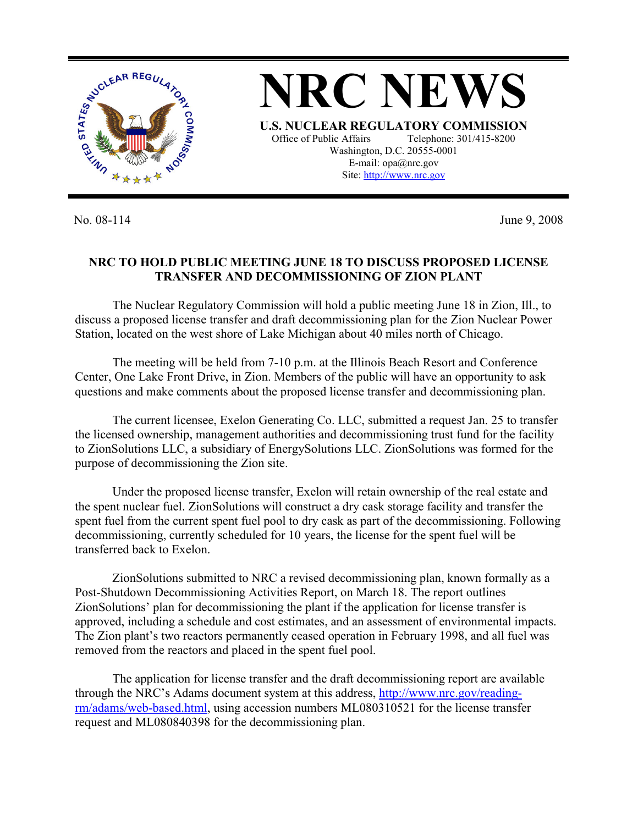

No. 08-114 June 9, 2008

## **NRC TO HOLD PUBLIC MEETING JUNE 18 TO DISCUSS PROPOSED LICENSE TRANSFER AND DECOMMISSIONING OF ZION PLANT**

 The Nuclear Regulatory Commission will hold a public meeting June 18 in Zion, Ill., to discuss a proposed license transfer and draft decommissioning plan for the Zion Nuclear Power Station, located on the west shore of Lake Michigan about 40 miles north of Chicago.

 The meeting will be held from 7-10 p.m. at the Illinois Beach Resort and Conference Center, One Lake Front Drive, in Zion. Members of the public will have an opportunity to ask questions and make comments about the proposed license transfer and decommissioning plan.

 The current licensee, Exelon Generating Co. LLC, submitted a request Jan. 25 to transfer the licensed ownership, management authorities and decommissioning trust fund for the facility to ZionSolutions LLC, a subsidiary of EnergySolutions LLC. ZionSolutions was formed for the purpose of decommissioning the Zion site.

 Under the proposed license transfer, Exelon will retain ownership of the real estate and the spent nuclear fuel. ZionSolutions will construct a dry cask storage facility and transfer the spent fuel from the current spent fuel pool to dry cask as part of the decommissioning. Following decommissioning, currently scheduled for 10 years, the license for the spent fuel will be transferred back to Exelon.

 ZionSolutions submitted to NRC a revised decommissioning plan, known formally as a Post-Shutdown Decommissioning Activities Report, on March 18. The report outlines ZionSolutions' plan for decommissioning the plant if the application for license transfer is approved, including a schedule and cost estimates, and an assessment of environmental impacts. The Zion plant's two reactors permanently ceased operation in February 1998, and all fuel was removed from the reactors and placed in the spent fuel pool.

 The application for license transfer and the draft decommissioning report are available through the NRC's Adams document system at this address, http://www.nrc.gov/readingrm/adams/web-based.html, using accession numbers ML080310521 for the license transfer request and ML080840398 for the decommissioning plan.